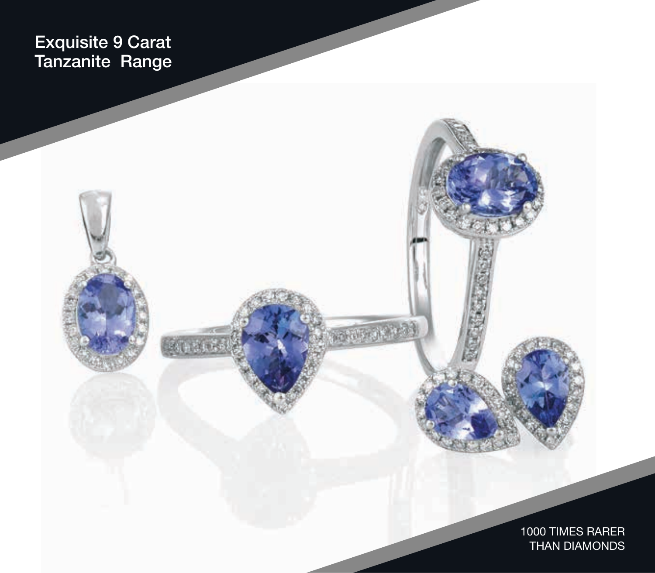## Exquisite 9 Carat Tanzanite Range

anici

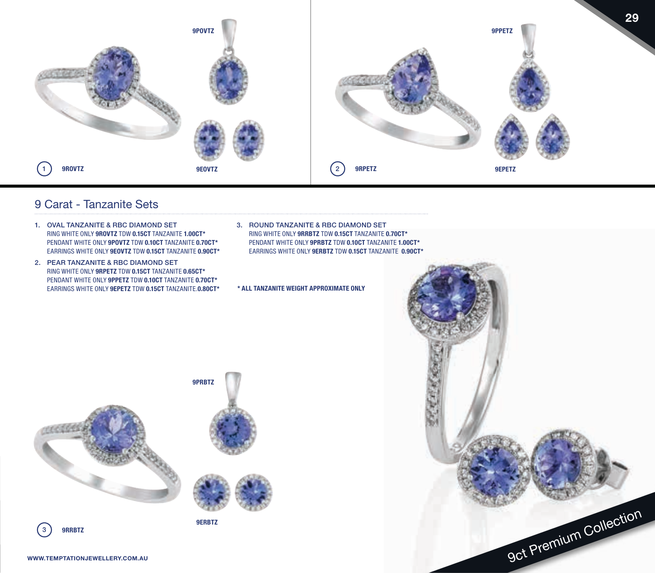

## 9 Carat - Tanzanite Sets

- 1. OVAL TANZANITE & RBC DIAMOND SET RING WHITE ONLY **9ROVTZ** TDW **0.15CT** TANZANITE **1.00CT\***  PENDANT WHITE ONLY **9POVTZ** TDW **0.10CT** TANZANITE **0.70CT\***  EARRINGS WHITE ONLY **9EOVTZ** TDW **0.15CT** TANZANITE **0.90CT\***
- 2. PEAR TANZANITE & RBC DIAMOND SET RING WHITE ONLY **9RPETZ** TDW **0.15CT** TANZANITE **0.65CT\*** PENDANT WHITE ONLY **9PPETZ** TDW **0.10CT** TANZANITE **0.70CT\*** EARRINGS WHITE ONLY **9EPETZ** TDW **0.15CT** TANZANITE.**0.80CT\***
- 3. ROUND TANZANITE & RBC DIAMOND SET RING WHITE ONLY **9RRBTZ** TDW **0.15CT** TANZANITE **0.70CT\*** PENDANT WHITE ONLY **9PRBTZ** TDW **0.10CT** TANZANITE **1.00CT\***  EARRINGS WHITE ONLY **9ERBTZ** TDW **0.15CT** TANZANITE **0.90CT\***

**\* ALL TANZANITE WEIGHT APPROXIMATE ONLY**